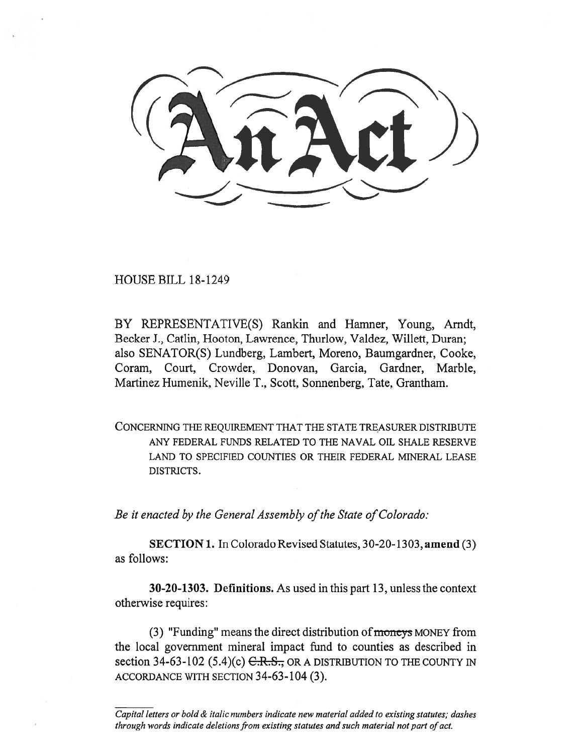HOUSE BILL 18-1249

BY REPRESENTATIVE(S) Rankin and Hamner, Young, Arndt, Becker J., Catlin, Hooton, Lawrence, Thurlow, Valdez, Willett, Duran; also SENATOR(S) Lundberg, Lambert, Moreno, Baumgardner, Cooke, Coram, Court, Crowder, Donovan, Garcia, Gardner, Marble, Martinez Humenik, Neville T., Scott, Sonnenberg, Tate, Grantham.

CONCERNING THE REQUIREMENT THAT THE STATE TREASURER DISTRIBUTE ANY FEDERAL FUNDS RELATED TO THE NAVAL OIL SHALE RESERVE LAND TO SPECIFIED COUNTIES OR THEIR FEDERAL MINERAL LEASE DISTRICTS.

*Be it enacted by the General Assembly of the State of Colorado:* 

**SECTION 1.** In Colorado Revised Statutes, 30-20-1303, **amend** (3) as follows:

**30-20-1303. Definitions.** As used in this part 13, unless the context otherwise requires:

(3) "Funding" means the direct distribution of moneys MONEY from the local government mineral impact fund to counties as described in section 34-63-102  $(5.4)(c)$  C.R.S., OR A DISTRIBUTION TO THE COUNTY IN ACCORDANCE WITH SECTION 34-63-104 (3).

*Capital letters or bold & italic numbers indicate new material added to existing statutes; dashes through words indicate deletions from existing statutes and such material not part of act.*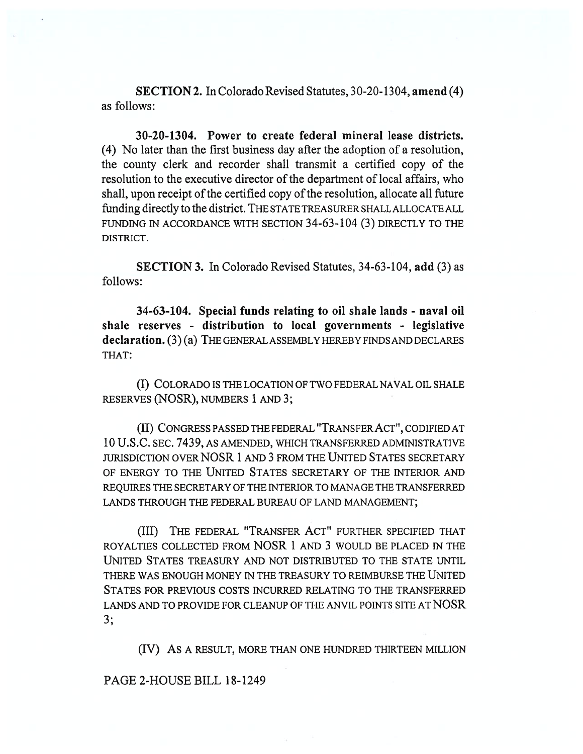**SECTION 2.** In Colorado Revised Statutes, 30-20-1304, **amend** (4) as follows:

**30-20-1304. Power to create federal mineral lease districts.**  (4) No later than the first business day after the adoption of a resolution, the county clerk and recorder shall transmit a certified copy of the resolution to the executive director of the department of local affairs, who shall, upon receipt of the certified copy of the resolution, allocate all future funding directly to the district. THE STATE TREASURER SHALL ALLOCATE ALL FUNDING IN ACCORDANCE WITH SECTION 34-63-104 (3) DIRECTLY TO THE DISTRICT.

**SECTION 3.** In Colorado Revised Statutes, 34-63-104, **add** (3) as follows:

**34-63-104. Special funds relating to oil shale lands - naval oil shale reserves - distribution to local governments - legislative declaration.** (3) (a) THE GENERAL ASSEMBLY HEREBY FINDS AND DECLARES THAT:

(I) COLORADO IS THE LOCATION OF TWO FEDERAL NAVAL OIL SHALE RESERVES (NOSR), NUMBERS 1 AND 3;

(II) CONGRESS PASSED THE FEDERAL "TRANSFER ACT", CODIFIED AT 10 U.S.C. SEC. 7439, AS AMENDED, WHICH TRANSFERRED ADMINISTRATIVE JURISDICTION OVER NOSR 1 AND 3 FROM THE UNITED STATES SECRETARY OF ENERGY TO THE UNITED STATES SECRETARY OF THE INTERIOR AND REQUIRES THE SECRETARY OF THE INTERIOR TO MANAGE THE TRANSFERRED LANDS THROUGH THE FEDERAL BUREAU OF LAND MANAGEMENT;

(III) THE FEDERAL "TRANSFER ACT" FURTHER SPECIFIED THAT ROYALTIES COLLECTED FROM NOSR 1 AND 3 WOULD BE PLACED IN THE UNITED STATES TREASURY AND NOT DISTRIBUTED TO THE STATE UNTIL THERE WAS ENOUGH MONEY IN THE TREASURY TO REIMBURSE THE UNITED STATES FOR PREVIOUS COSTS INCURRED RELATING TO THE TRANSFERRED LANDS AND TO PROVIDE FOR CLEANUP OF THE ANVIL POINTS SITE AT NOSR 3;

(IV) AS A RESULT, MORE THAN ONE HUNDRED THIRTEEN MILLION

## PAGE 2-HOUSE BILL 18-1249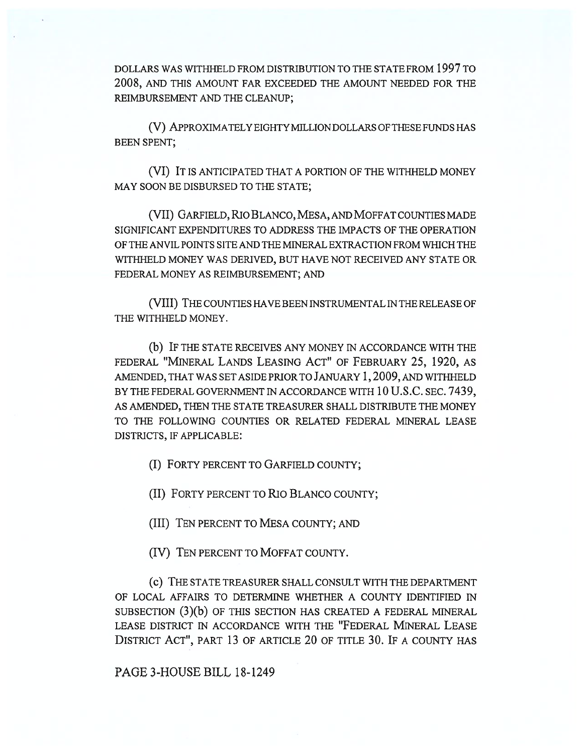DOLLARS WAS WITHHELD FROM DISTRIBUTION TO THE STATE FROM 1997 TO 2008, AND THIS AMOUNT FAR EXCEEDED THE AMOUNT NEEDED FOR THE REIMBURSEMENT AND THE CLEANUP;

(V) APPROXIMATELY EIGHTY MILLION DOLLARS OF THESE FUNDS HAS BEEN SPENT;

(VI) IT IS ANTICIPATED THAT A PORTION OF THE WITHHELD MONEY MAY SOON BE DISBURSED TO THE STATE;

(VII) GARFIELD, RIO BLANCO, MESA, AND MOFFAT COUNTIES MADE SIGNIFICANT EXPENDITURES TO ADDRESS THE IMPACTS OF THE OPERATION OF THE ANVIL POINTS SITE AND THE MINERAL EXTRACTION FROM WHICH THE WITHHELD MONEY WAS DERIVED, BUT HAVE NOT RECEIVED ANY STATE OR FEDERAL MONEY AS REIMBURSEMENT; AND

(VIII) THE COUNTIES HAVE BEEN INSTRUMENTAL IN THE RELEASE OF THE WITHHELD MONEY.

(b) IF THE STATE RECEIVES ANY MONEY IN ACCORDANCE WITH THE FEDERAL "MINERAL LANDS LEASING ACT" OF FEBRUARY 25, 1920, AS AMENDED, THAT WAS SET ASIDE PRIOR TO JANUARY 1, 2009, AND WITHHELD BY THE FEDERAL GOVERNMENT IN ACCORDANCE WITH 10 U.S.C. SEC. 7439, AS AMENDED, THEN THE STATE TREASURER SHALL DISTRIBUTE THE MONEY TO THE FOLLOWING COUNTIES OR RELATED FEDERAL MINERAL LEASE DISTRICTS, IF APPLICABLE:

(I) FORTY PERCENT TO GARFIELD COUNTY;

(II) FORTY PERCENT TO Rio BLANCO COUNTY;

(III) TEN PERCENT TO MESA COUNTY; AND

(IV) TEN PERCENT TO MOFFAT COUNTY.

(c) THE STATE TREASURER SHALL CONSULT WITH THE DEPARTMENT OF LOCAL AFFAIRS TO DETERMINE WHETHER A COUNTY IDENTIFIED IN SUBSECTION (3)(b) OF THIS SECTION HAS CREATED A FEDERAL MINERAL LEASE DISTRICT IN ACCORDANCE WITH THE "FEDERAL MINERAL LEASE DISTRICT ACT", PART 13 OF ARTICLE 20 OF TITLE 30. IF A COUNTY HAS

PAGE 3-HOUSE BILL 18-1249